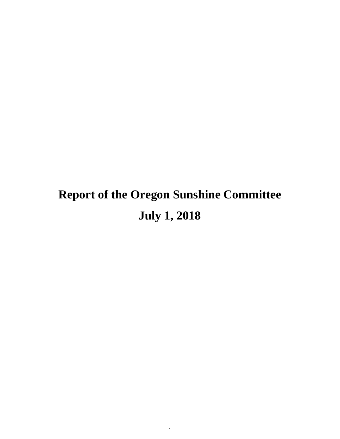# **Report of the Oregon Sunshine Committee July 1, 2018**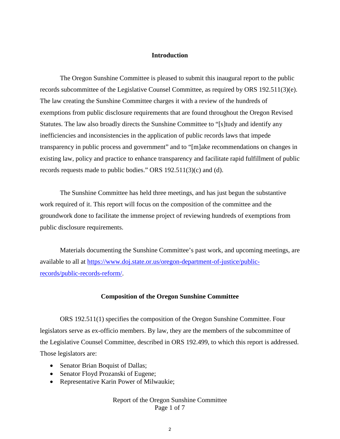# **Introduction**

The Oregon Sunshine Committee is pleased to submit this inaugural report to the public records subcommittee of the Legislative Counsel Committee, as required by ORS 192.511(3)(e). The law creating the Sunshine Committee charges it with a review of the hundreds of exemptions from public disclosure requirements that are found throughout the Oregon Revised Statutes. The law also broadly directs the Sunshine Committee to "[s]tudy and identify any inefficiencies and inconsistencies in the application of public records laws that impede transparency in public process and government" and to "[m]ake recommendations on changes in existing law, policy and practice to enhance transparency and facilitate rapid fulfillment of public records requests made to public bodies." ORS 192.511(3)(c) and (d).

The Sunshine Committee has held three meetings, and has just begun the substantive work required of it. This report will focus on the composition of the committee and the groundwork done to facilitate the immense project of reviewing hundreds of exemptions from public disclosure requirements.

Materials documenting the Sunshine Committee's past work, and upcoming meetings, are available to all at https://www.doj.state.or.us/oregon-department-of-justice/publicrecords/public-records-reform/.

#### **Composition of the Oregon Sunshine Committee**

ORS 192.511(1) specifies the composition of the Oregon Sunshine Committee. Four legislators serve as ex-officio members. By law, they are the members of the subcommittee of the Legislative Counsel Committee, described in ORS 192.499, to which this report is addressed. Those legislators are:

- Senator Brian Boquist of Dallas;
- Senator Floyd Prozanski of Eugene;
- Representative Karin Power of Milwaukie;

# Report of the Oregon Sunshine Committee Page 1 of 7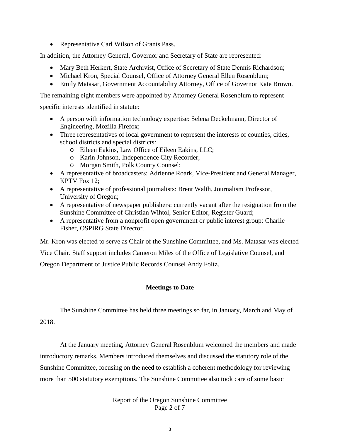Representative Carl Wilson of Grants Pass.

In addition, the Attorney General, Governor and Secretary of State are represented:

- Mary Beth Herkert, State Archivist, Office of Secretary of State Dennis Richardson;
- Michael Kron, Special Counsel, Office of Attorney General Ellen Rosenblum;
- Emily Matasar, Government Accountability Attorney, Office of Governor Kate Brown.

The remaining eight members were appointed by Attorney General Rosenblum to represent

specific interests identified in statute:

- A person with information technology expertise: Selena Deckelmann, Director of Engineering, Mozilla Firefox;
- Three representatives of local government to represent the interests of counties, cities, school districts and special districts:
	- o Eileen Eakins, Law Office of Eileen Eakins, LLC;
	- o Karin Johnson, Independence City Recorder;
	- o Morgan Smith, Polk County Counsel;
- A representative of broadcasters: Adrienne Roark, Vice-President and General Manager, KPTV Fox 12;
- A representative of professional journalists: Brent Walth, Journalism Professor, University of Oregon;
- A representative of newspaper publishers: currently vacant after the resignation from the Sunshine Committee of Christian Wihtol, Senior Editor, Register Guard;
- A representative from a nonprofit open government or public interest group: Charlie Fisher, OSPIRG State Director.

Mr. Kron was elected to serve as Chair of the Sunshine Committee, and Ms. Matasar was elected

Vice Chair. Staff support includes Cameron Miles of the Office of Legislative Counsel, and Oregon Department of Justice Public Records Counsel Andy Foltz.

# **Meetings to Date**

The Sunshine Committee has held three meetings so far, in January, March and May of 2018.

At the January meeting, Attorney General Rosenblum welcomed the members and made introductory remarks. Members introduced themselves and discussed the statutory role of the Sunshine Committee, focusing on the need to establish a coherent methodology for reviewing more than 500 statutory exemptions. The Sunshine Committee also took care of some basic

> Report of the Oregon Sunshine Committee Page 2 of 7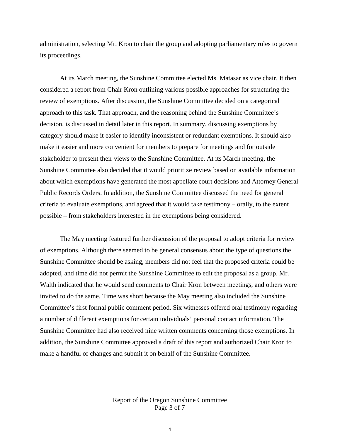administration, selecting Mr. Kron to chair the group and adopting parliamentary rules to govern its proceedings.

At its March meeting, the Sunshine Committee elected Ms. Matasar as vice chair. It then considered a report from Chair Kron outlining various possible approaches for structuring the review of exemptions. After discussion, the Sunshine Committee decided on a categorical approach to this task. That approach, and the reasoning behind the Sunshine Committee's decision, is discussed in detail later in this report. In summary, discussing exemptions by category should make it easier to identify inconsistent or redundant exemptions. It should also make it easier and more convenient for members to prepare for meetings and for outside stakeholder to present their views to the Sunshine Committee. At its March meeting, the Sunshine Committee also decided that it would prioritize review based on available information about which exemptions have generated the most appellate court decisions and Attorney General Public Records Orders. In addition, the Sunshine Committee discussed the need for general criteria to evaluate exemptions, and agreed that it would take testimony – orally, to the extent possible – from stakeholders interested in the exemptions being considered.

The May meeting featured further discussion of the proposal to adopt criteria for review of exemptions. Although there seemed to be general consensus about the type of questions the Sunshine Committee should be asking, members did not feel that the proposed criteria could be adopted, and time did not permit the Sunshine Committee to edit the proposal as a group. Mr. Walth indicated that he would send comments to Chair Kron between meetings, and others were invited to do the same. Time was short because the May meeting also included the Sunshine Committee's first formal public comment period. Six witnesses offered oral testimony regarding a number of different exemptions for certain individuals' personal contact information. The Sunshine Committee had also received nine written comments concerning those exemptions. In addition, the Sunshine Committee approved a draft of this report and authorized Chair Kron to make a handful of changes and submit it on behalf of the Sunshine Committee.

> Report of the Oregon Sunshine Committee Page 3 of 7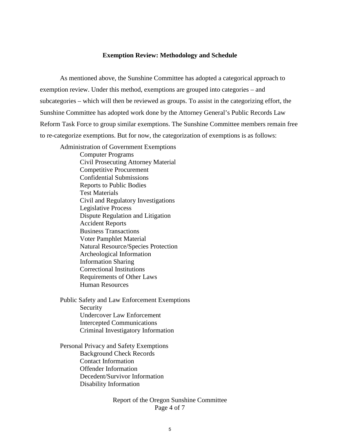#### **Exemption Review: Methodology and Schedule**

As mentioned above, the Sunshine Committee has adopted a categorical approach to exemption review. Under this method, exemptions are grouped into categories – and subcategories – which will then be reviewed as groups. To assist in the categorizing effort, the Sunshine Committee has adopted work done by the Attorney General's Public Records Law Reform Task Force to group similar exemptions. The Sunshine Committee members remain free to re-categorize exemptions. But for now, the categorization of exemptions is as follows:

Administration of Government Exemptions Computer Programs Civil Prosecuting Attorney Material Competitive Procurement Confidential Submissions Reports to Public Bodies Test Materials Civil and Regulatory Investigations Legislative Process Dispute Regulation and Litigation Accident Reports Business Transactions Voter Pamphlet Material Natural Resource/Species Protection Archeological Information Information Sharing Correctional Institutions Requirements of Other Laws Human Resources

Public Safety and Law Enforcement Exemptions Security Undercover Law Enforcement Intercepted Communications Criminal Investigatory Information

Personal Privacy and Safety Exemptions Background Check Records Contact Information Offender Information Decedent/Survivor Information Disability Information

> Report of the Oregon Sunshine Committee Page 4 of 7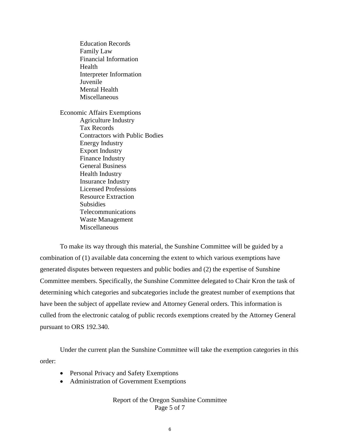Education Records Family Law Financial Information Health Interpreter Information Juvenile Mental Health Miscellaneous

Economic Affairs Exemptions Agriculture Industry Tax Records Contractors with Public Bodies Energy Industry Export Industry Finance Industry General Business Health Industry Insurance Industry Licensed Professions Resource Extraction Subsidies Telecommunications Waste Management Miscellaneous

To make its way through this material, the Sunshine Committee will be guided by a combination of (1) available data concerning the extent to which various exemptions have generated disputes between requesters and public bodies and (2) the expertise of Sunshine Committee members. Specifically, the Sunshine Committee delegated to Chair Kron the task of determining which categories and subcategories include the greatest number of exemptions that have been the subject of appellate review and Attorney General orders. This information is culled from the electronic catalog of public records exemptions created by the Attorney General pursuant to ORS 192.340.

Under the current plan the Sunshine Committee will take the exemption categories in this order:

- Personal Privacy and Safety Exemptions
- Administration of Government Exemptions

# Report of the Oregon Sunshine Committee Page 5 of 7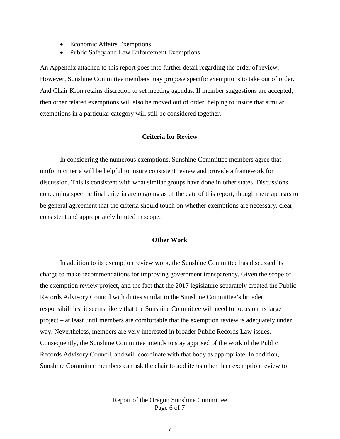- Economic Affairs Exemptions
- Public Safety and Law Enforcement Exemptions

An Appendix attached to this report goes into further detail regarding the order of review. However, Sunshine Committee members may propose specific exemptions to take out of order. And Chair Kron retains discretion to set meeting agendas. If member suggestions are accepted, then other related exemptions will also be moved out of order, helping to insure that similar exemptions in a particular category will still be considered together.

#### **Criteria for Review**

In considering the numerous exemptions, Sunshine Committee members agree that uniform criteria will be helpful to insure consistent review and provide a framework for discussion. This is consistent with what similar groups have done in other states. Discussions concerning specific final criteria are ongoing as of the date of this report, though there appears to be general agreement that the criteria should touch on whether exemptions are necessary, clear, consistent and appropriately limited in scope.

#### **Other Work**

In addition to its exemption review work, the Sunshine Committee has discussed its charge to make recommendations for improving government transparency. Given the scope of the exemption review project, and the fact that the 2017 legislature separately created the Public Records Advisory Council with duties similar to the Sunshine Committee's broader responsibilities, it seems likely that the Sunshine Committee will need to focus on its large project – at least until members are comfortable that the exemption review is adequately under way. Nevertheless, members are very interested in broader Public Records Law issues. Consequently, the Sunshine Committee intends to stay apprised of the work of the Public Records Advisory Council, and will coordinate with that body as appropriate. In addition, Sunshine Committee members can ask the chair to add items other than exemption review to

> Report of the Oregon Sunshine Committee Page 6 of 7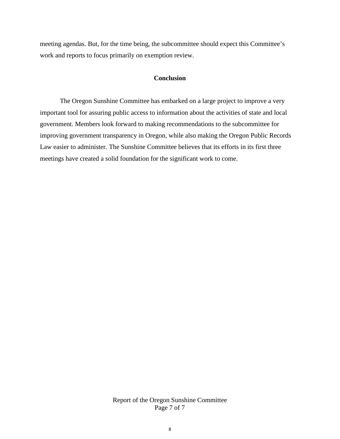meeting agendas. But, for the time being, the subcommittee should expect this Committee's work and reports to focus primarily on exemption review.

# **Conclusion**

The Oregon Sunshine Committee has embarked on a large project to improve a very important tool for assuring public access to information about the activities of state and local government. Members look forward to making recommendations to the subcommittee for improving government transparency in Oregon, while also making the Oregon Public Records Law easier to administer. The Sunshine Committee believes that its efforts in its first three meetings have created a solid foundation for the significant work to come.

> Report of the Oregon Sunshine Committee Page 7 of 7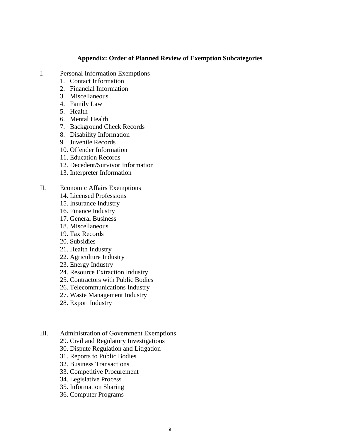### **Appendix: Order of Planned Review of Exemption Subcategories**

- I. Personal Information Exemptions
	- 1. Contact Information
	- 2. Financial Information
	- 3. Miscellaneous
	- 4. Family Law
	- 5. Health
	- 6. Mental Health
	- 7. Background Check Records
	- 8. Disability Information
	- 9. Juvenile Records
	- 10. Offender Information
	- 11. Education Records
	- 12. Decedent/Survivor Information
	- 13. Interpreter Information
- II. Economic Affairs Exemptions
	- 14. Licensed Professions
	- 15. Insurance Industry
	- 16. Finance Industry
	- 17. General Business
	- 18. Miscellaneous
	- 19. Tax Records
	- 20. Subsidies
	- 21. Health Industry
	- 22. Agriculture Industry
	- 23. Energy Industry
	- 24. Resource Extraction Industry
	- 25. Contractors with Public Bodies
	- 26. Telecommunications Industry
	- 27. Waste Management Industry
	- 28. Export Industry
- III. Administration of Government Exemptions
	- 29. Civil and Regulatory Investigations
	- 30. Dispute Regulation and Litigation
	- 31. Reports to Public Bodies
	- 32. Business Transactions
	- 33. Competitive Procurement
	- 34. Legislative Process
	- 35. Information Sharing
	- 36. Computer Programs